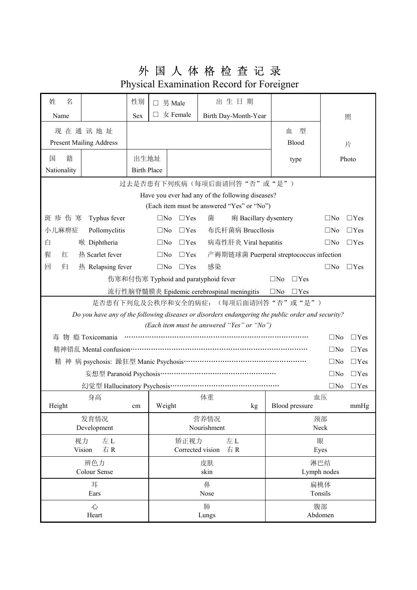## 外 国 人 体 格 检 查 记 录

Physical Examination Record for Foreigner

| 姓<br>名                                                                                            |                                                                                | 性别                                                                     |                                      | $\Box$ 男 Male             | 出生日期                                       |            |                |              |            |  |
|---------------------------------------------------------------------------------------------------|--------------------------------------------------------------------------------|------------------------------------------------------------------------|--------------------------------------|---------------------------|--------------------------------------------|------------|----------------|--------------|------------|--|
| Name                                                                                              |                                                                                | <b>Sex</b>                                                             |                                      | $\Box \not\subset$ Female | Birth Day-Month-Year                       |            |                |              | 照          |  |
|                                                                                                   | 现在通讯地址                                                                         |                                                                        |                                      |                           |                                            |            | 型<br>血         |              |            |  |
| <b>Present Mailing Address</b>                                                                    |                                                                                |                                                                        |                                      |                           |                                            |            | Blood          |              | 片          |  |
| 籍<br>国                                                                                            |                                                                                | 出生地址                                                                   |                                      |                           |                                            |            |                |              |            |  |
| Nationality                                                                                       |                                                                                | type<br><b>Birth Place</b>                                             |                                      |                           |                                            | Photo      |                |              |            |  |
|                                                                                                   |                                                                                |                                                                        |                                      |                           |                                            |            |                |              |            |  |
|                                                                                                   | 过去是否患有下列疾病(每项后面请回答"否"或"是")<br>Have you ever had any of the following diseases? |                                                                        |                                      |                           |                                            |            |                |              |            |  |
|                                                                                                   |                                                                                |                                                                        |                                      |                           | (Each item must be answered "Yes" or "No") |            |                |              |            |  |
| 斑疹伤寒                                                                                              | Typhus fever                                                                   |                                                                        | $\square$ No                         | $\Box$ Yes                | 菌<br>痢 Bacillary dysentery                 |            |                | $\square$ No | $\Box$ Yes |  |
| 小儿麻痹症                                                                                             | Pollomyclitis                                                                  |                                                                        | $\square$ No                         | $\Box$ Yes                | 布氏杆菌病 Bruccllosis                          |            |                | $\square$ No | $\Box$ Yes |  |
| 白                                                                                                 | 喉 Diphtheria                                                                   |                                                                        | $\square$ No                         | $\Box$ Yes                | 病毒性肝炎 Viral hepatitis                      |            |                | $\square$ No | $\Box$ Yes |  |
| 猩<br>红                                                                                            | 热 Scarlet fever                                                                | 产褥期链球菌 Puerperal streptococcus infection<br>$\square$ No<br>$\Box$ Yes |                                      |                           |                                            |            |                |              |            |  |
| 回<br>归                                                                                            | 热 Relapsing fever                                                              |                                                                        | $\square$ No                         | $\Box$ Yes                | 感染                                         |            |                | $\square$ No | $\Box$ Yes |  |
| 伤寒和付伤寒 Typhoid and paratyphoid fever<br>$\square$ No<br>$\Box$ Yes                                |                                                                                |                                                                        |                                      |                           |                                            |            |                |              |            |  |
| 流行性脑脊髓膜炎 Epidemic cerebrospinal meningitis<br>$\square$ No<br>$\Box$ Yes                          |                                                                                |                                                                        |                                      |                           |                                            |            |                |              |            |  |
| 是否患有下列危及公秩序和安全的病症: (每项后面请回答"否"或"是")                                                               |                                                                                |                                                                        |                                      |                           |                                            |            |                |              |            |  |
| Do you have any of the following diseases or disorders endangering the public order and security? |                                                                                |                                                                        |                                      |                           |                                            |            |                |              |            |  |
| (Each item must be answered "Yes" or "No")                                                        |                                                                                |                                                                        |                                      |                           |                                            |            |                |              |            |  |
| 瘾 Toxicomania<br>$\square$ No<br>毒<br>物                                                           |                                                                                |                                                                        |                                      |                           |                                            |            |                | $\Box$ Yes   |            |  |
|                                                                                                   |                                                                                |                                                                        |                                      |                           |                                            |            |                | $\square$ No | $\Box$ Yes |  |
|                                                                                                   |                                                                                |                                                                        |                                      |                           |                                            |            | $\square$ No   | $\Box$ Yes   |            |  |
|                                                                                                   |                                                                                |                                                                        |                                      |                           |                                            |            | $\square$ No   | $\Box$ Yes   |            |  |
|                                                                                                   |                                                                                |                                                                        |                                      |                           |                                            |            | $\square$ No   | $\Box$ Yes   |            |  |
|                                                                                                   | 身高                                                                             |                                                                        |                                      |                           | 体重                                         |            |                | 血压           |            |  |
| Height                                                                                            |                                                                                | cm                                                                     | Weight                               |                           | $\mathbf{kg}$                              |            | Blood pressure |              | mmHg       |  |
| 发育情况                                                                                              |                                                                                |                                                                        | 营养情况<br>Nourishment                  |                           |                                            | 颈部<br>Neck |                |              |            |  |
| Development                                                                                       |                                                                                |                                                                        |                                      |                           |                                            |            |                |              |            |  |
| 视力<br>左L<br>右R<br>Vision                                                                          |                                                                                |                                                                        | 矫正视力<br>左L<br>Corrected vision<br>右R |                           |                                            | 眼<br>Eyes  |                |              |            |  |
| 辨色力                                                                                               |                                                                                |                                                                        |                                      | 皮肤                        |                                            |            | 淋巴结            |              |            |  |
| Colour Sense                                                                                      |                                                                                |                                                                        |                                      | skin                      |                                            |            | Lymph nodes    |              |            |  |
| 耳                                                                                                 |                                                                                |                                                                        |                                      | 鼻                         |                                            |            | 扁桃体            |              |            |  |
| Ears                                                                                              |                                                                                |                                                                        |                                      | Nose                      |                                            |            | Tonsils        |              |            |  |
| 心                                                                                                 |                                                                                |                                                                        |                                      | 肺                         |                                            |            | 腹部             |              |            |  |
| Heart                                                                                             |                                                                                |                                                                        | Lungs                                |                           |                                            |            | Abdomen        |              |            |  |